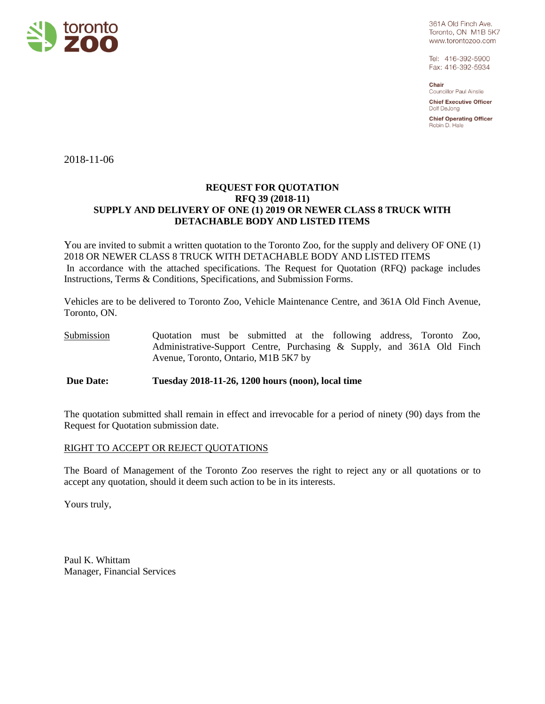

361A Old Finch Ave. Toronto, ON M1B 5K7 www.torontozoo.com

Tel: 416-392-5900 Fax: 416-392-5934

Chair Councillor Paul Ainslie

**Chief Executive Officer** Dolf DeJong

**Chief Operating Officer** Robin D. Hale

2018-11-06

## **REQUEST FOR QUOTATION RFQ 39 (2018-11) SUPPLY AND DELIVERY OF ONE (1) 2019 OR NEWER CLASS 8 TRUCK WITH DETACHABLE BODY AND LISTED ITEMS**

You are invited to submit a written quotation to the Toronto Zoo, for the supply and delivery OF ONE (1) 2018 OR NEWER CLASS 8 TRUCK WITH DETACHABLE BODY AND LISTED ITEMS In accordance with the attached specifications. The Request for Quotation (RFQ) package includes Instructions, Terms & Conditions, Specifications, and Submission Forms.

Vehicles are to be delivered to Toronto Zoo, Vehicle Maintenance Centre, and 361A Old Finch Avenue, Toronto, ON.

Submission Quotation must be submitted at the following address, Toronto Zoo, Administrative-Support Centre, Purchasing & Supply, and 361A Old Finch Avenue, Toronto, Ontario, M1B 5K7 by

**Due Date: Tuesday 2018-11-26, 1200 hours (noon), local time**

The quotation submitted shall remain in effect and irrevocable for a period of ninety (90) days from the Request for Quotation submission date.

## RIGHT TO ACCEPT OR REJECT QUOTATIONS

The Board of Management of the Toronto Zoo reserves the right to reject any or all quotations or to accept any quotation, should it deem such action to be in its interests.

Yours truly,

Paul K. Whittam Manager, Financial Services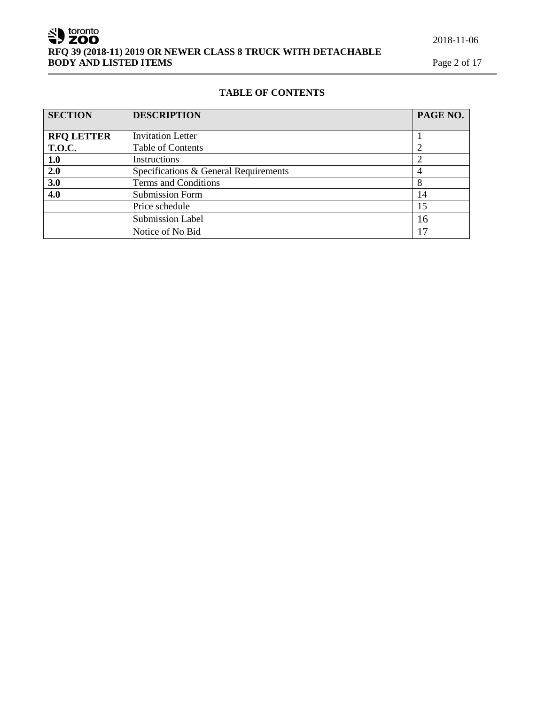## 2018-11-06

SU toronto **RFQ 39 (2018-11) 2019 OR NEWER CLASS 8 TRUCK WITH DETACHABLE BODY AND LISTED ITEMS** Page 2 of 17

## **TABLE OF CONTENTS**

| <b>SECTION</b>    | <b>DESCRIPTION</b><br>PAGE NO.        |    |
|-------------------|---------------------------------------|----|
|                   |                                       |    |
| <b>RFQ LETTER</b> | <b>Invitation Letter</b>              |    |
| <b>T.O.C.</b>     | <b>Table of Contents</b>              |    |
| 1.0               | Instructions                          |    |
| 2.0               | Specifications & General Requirements | 4  |
| 3.0               | Terms and Conditions                  | 8  |
| 4.0               | <b>Submission Form</b>                | 14 |
|                   | Price schedule                        | 15 |
|                   | <b>Submission Label</b>               | 16 |
|                   | Notice of No Bid                      | 17 |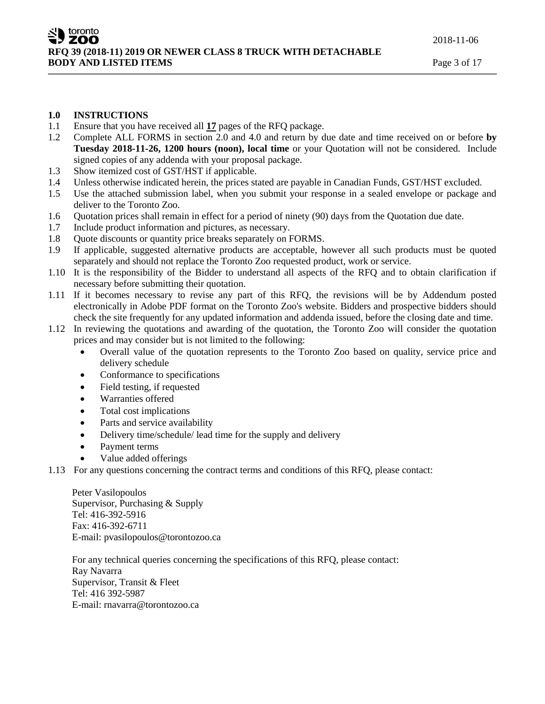## **1.0 INSTRUCTIONS**

- 1.1 Ensure that you have received all **17** pages of the RFQ package.
- 1.2 Complete ALL FORMS in section 2.0 and 4.0 and return by due date and time received on or before **by Tuesday 2018-11-26, 1200 hours (noon), local time** or your Quotation will not be considered. Include signed copies of any addenda with your proposal package.
- 1.3 Show itemized cost of GST/HST if applicable.
- 1.4 Unless otherwise indicated herein, the prices stated are payable in Canadian Funds, GST/HST excluded.
- 1.5 Use the attached submission label, when you submit your response in a sealed envelope or package and deliver to the Toronto Zoo.
- 1.6 Quotation prices shall remain in effect for a period of ninety (90) days from the Quotation due date.
- 1.7 Include product information and pictures, as necessary.
- 1.8 Quote discounts or quantity price breaks separately on FORMS.
- 1.9 If applicable, suggested alternative products are acceptable, however all such products must be quoted separately and should not replace the Toronto Zoo requested product, work or service.
- 1.10 It is the responsibility of the Bidder to understand all aspects of the RFQ and to obtain clarification if necessary before submitting their quotation.
- 1.11 If it becomes necessary to revise any part of this RFQ, the revisions will be by Addendum posted electronically in Adobe PDF format on the Toronto Zoo's website. Bidders and prospective bidders should check the site frequently for any updated information and addenda issued, before the closing date and time.
- 1.12 In reviewing the quotations and awarding of the quotation, the Toronto Zoo will consider the quotation prices and may consider but is not limited to the following:
	- Overall value of the quotation represents to the Toronto Zoo based on quality, service price and delivery schedule
	- Conformance to specifications
	- Field testing, if requested
	- Warranties offered
	- Total cost implications
	- Parts and service availability
	- Delivery time/schedule/ lead time for the supply and delivery
	- Payment terms
	- Value added offerings
- 1.13 For any questions concerning the contract terms and conditions of this RFQ, please contact:

Peter Vasilopoulos Supervisor, Purchasing & Supply Tel: 416-392-5916 Fax: 416-392-6711 E-mail: pvasilopoulos@torontozoo.ca

For any technical queries concerning the specifications of this RFQ, please contact: Ray Navarra Supervisor, Transit & Fleet Tel: 416 392-5987 E-mail: rnavarra@torontozoo.ca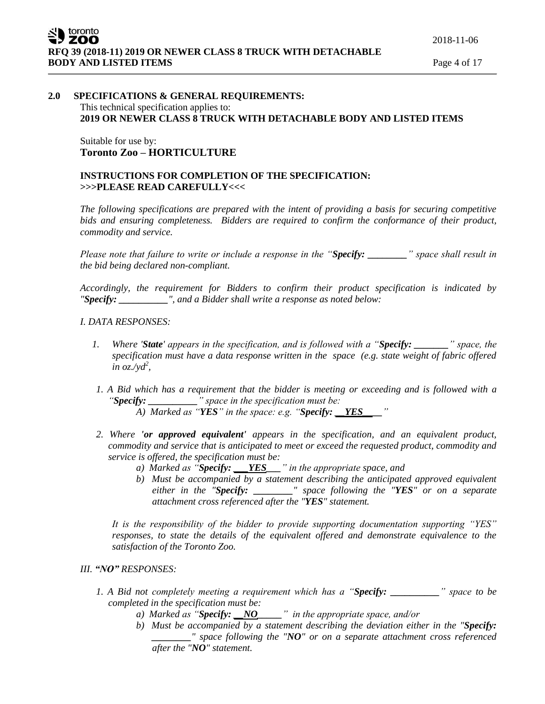## **2.0 SPECIFICATIONS & GENERAL REQUIREMENTS:** This technical specification applies to: **2019 OR NEWER CLASS 8 TRUCK WITH DETACHABLE BODY AND LISTED ITEMS**

## Suitable for use by: **Toronto Zoo – HORTICULTURE**

## **INSTRUCTIONS FOR COMPLETION OF THE SPECIFICATION: >>>PLEASE READ CAREFULLY<<<**

*The following specifications are prepared with the intent of providing a basis for securing competitive bids and ensuring completeness. Bidders are required to confirm the conformance of their product, commodity and service.*

*Please note that failure to write or include a response in the "Specify: \_\_\_\_\_\_\_\_" space shall result in the bid being declared non-compliant.*

*Accordingly, the requirement for Bidders to confirm their product specification is indicated by "Specify: \_\_\_\_\_\_\_\_\_\_", and a Bidder shall write a response as noted below:* 

## *I. DATA RESPONSES:*

- *1. Where 'State' appears in the specification, and is followed with a "Specify: \_\_\_\_\_\_\_" space, the specification must have a data response written in the space (e.g. state weight of fabric offered in oz./yd<sup>2</sup> ,*
- *1. A Bid which has a requirement that the bidder is meeting or exceeding and is followed with a "Specify: \_\_\_\_\_\_\_\_\_\_" space in the specification must be: A) Marked as "YES" in the space: e.g. "Specify: \_\_YES\_\_\_\_"*
- *2. Where 'or approved equivalent' appears in the specification, and an equivalent product, commodity and service that is anticipated to meet or exceed the requested product, commodity and service is offered, the specification must be:*
	- *a) Marked as "Specify: \_\_\_YES\_\_\_" in the appropriate space, and*
	- *b) Must be accompanied by a statement describing the anticipated approved equivalent either in the "Specify: \_\_\_\_\_\_\_\_" space following the "YES" or on a separate attachment cross referenced after the "YES" statement.*

*It is the responsibility of the bidder to provide supporting documentation supporting "YES" responses, to state the details of the equivalent offered and demonstrate equivalence to the satisfaction of the Toronto Zoo.* 

- *III. "NO" RESPONSES:*
	- *1. A Bid not completely meeting a requirement which has a "Specify: \_\_\_\_\_\_\_\_\_\_" space to be completed in the specification must be:*
		- *a) Marked as "Specify: \_\_NO\_\_\_\_\_" in the appropriate space, and/or*
		- *b) Must be accompanied by a statement describing the deviation either in the "Specify: \_\_\_\_\_\_\_\_" space following the "NO" or on a separate attachment cross referenced after the "NO" statement.*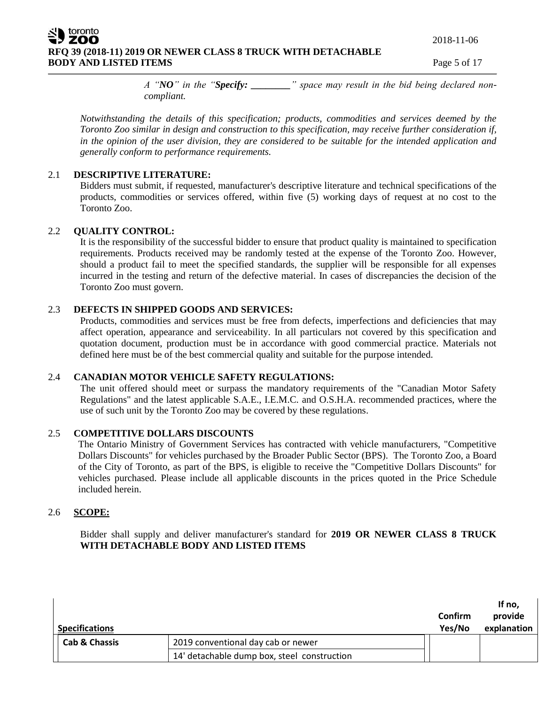2018-11-06

**RFQ 39 (2018-11) 2019 OR NEWER CLASS 8 TRUCK WITH DETACHABLE BODY AND LISTED ITEMS** Page 5 of 17

*A "NO" in the "Specify: \_\_\_\_\_\_\_\_" space may result in the bid being declared noncompliant.* 

*Notwithstanding the details of this specification; products, commodities and services deemed by the Toronto Zoo similar in design and construction to this specification, may receive further consideration if, in the opinion of the user division, they are considered to be suitable for the intended application and generally conform to performance requirements.*

## 2.1 **DESCRIPTIVE LITERATURE:**

Bidders must submit, if requested, manufacturer's descriptive literature and technical specifications of the products, commodities or services offered, within five (5) working days of request at no cost to the Toronto Zoo.

## 2.2 **QUALITY CONTROL:**

toronto

It is the responsibility of the successful bidder to ensure that product quality is maintained to specification requirements. Products received may be randomly tested at the expense of the Toronto Zoo. However, should a product fail to meet the specified standards, the supplier will be responsible for all expenses incurred in the testing and return of the defective material. In cases of discrepancies the decision of the Toronto Zoo must govern.

## 2.3 **DEFECTS IN SHIPPED GOODS AND SERVICES:**

Products, commodities and services must be free from defects, imperfections and deficiencies that may affect operation, appearance and serviceability. In all particulars not covered by this specification and quotation document, production must be in accordance with good commercial practice. Materials not defined here must be of the best commercial quality and suitable for the purpose intended.

## 2.4 **CANADIAN MOTOR VEHICLE SAFETY REGULATIONS:**

The unit offered should meet or surpass the mandatory requirements of the "Canadian Motor Safety Regulations" and the latest applicable S.A.E., I.E.M.C. and O.S.H.A. recommended practices, where the use of such unit by the Toronto Zoo may be covered by these regulations.

## 2.5 **COMPETITIVE DOLLARS DISCOUNTS**

The Ontario Ministry of Government Services has contracted with vehicle manufacturers, "Competitive Dollars Discounts" for vehicles purchased by the Broader Public Sector (BPS). The Toronto Zoo, a Board of the City of Toronto, as part of the BPS, is eligible to receive the "Competitive Dollars Discounts" for vehicles purchased. Please include all applicable discounts in the prices quoted in the Price Schedule included herein.

## 2.6 **SCOPE:**

Bidder shall supply and deliver manufacturer's standard for **2019 OR NEWER CLASS 8 TRUCK WITH DETACHABLE BODY AND LISTED ITEMS**

| <b>Specifications</b>    |                                             | Confirm<br>Yes/No | If no,<br>provide<br>explanation |
|--------------------------|---------------------------------------------|-------------------|----------------------------------|
| <b>Cab &amp; Chassis</b> | 2019 conventional day cab or newer          |                   |                                  |
|                          | 14' detachable dump box, steel construction |                   |                                  |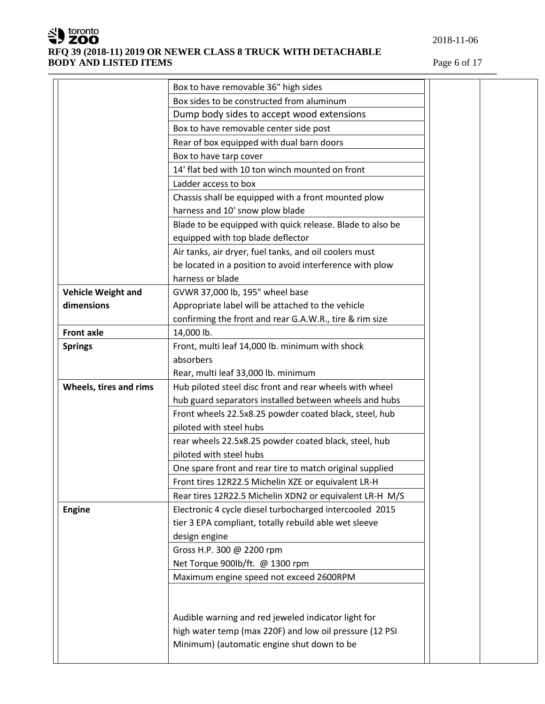

|                           | Box to have removable 36" high sides                      |  |  |  |
|---------------------------|-----------------------------------------------------------|--|--|--|
|                           | Box sides to be constructed from aluminum                 |  |  |  |
|                           | Dump body sides to accept wood extensions                 |  |  |  |
|                           | Box to have removable center side post                    |  |  |  |
|                           | Rear of box equipped with dual barn doors                 |  |  |  |
|                           | Box to have tarp cover                                    |  |  |  |
|                           | 14' flat bed with 10 ton winch mounted on front           |  |  |  |
|                           | Ladder access to box                                      |  |  |  |
|                           | Chassis shall be equipped with a front mounted plow       |  |  |  |
|                           | harness and 10' snow plow blade                           |  |  |  |
|                           | Blade to be equipped with quick release. Blade to also be |  |  |  |
|                           | equipped with top blade deflector                         |  |  |  |
|                           | Air tanks, air dryer, fuel tanks, and oil coolers must    |  |  |  |
|                           | be located in a position to avoid interference with plow  |  |  |  |
|                           | harness or blade                                          |  |  |  |
| <b>Vehicle Weight and</b> | GVWR 37,000 lb, 195" wheel base                           |  |  |  |
| dimensions                | Appropriate label will be attached to the vehicle         |  |  |  |
|                           | confirming the front and rear G.A.W.R., tire & rim size   |  |  |  |
| <b>Front axle</b>         | 14,000 lb.                                                |  |  |  |
| <b>Springs</b>            | Front, multi leaf 14,000 lb. minimum with shock           |  |  |  |
|                           | absorbers                                                 |  |  |  |
|                           | Rear, multi leaf 33,000 lb. minimum                       |  |  |  |
| Wheels, tires and rims    | Hub piloted steel disc front and rear wheels with wheel   |  |  |  |
|                           | hub guard separators installed between wheels and hubs    |  |  |  |
|                           | Front wheels 22.5x8.25 powder coated black, steel, hub    |  |  |  |
|                           | piloted with steel hubs                                   |  |  |  |
|                           | rear wheels 22.5x8.25 powder coated black, steel, hub     |  |  |  |
|                           | piloted with steel hubs                                   |  |  |  |
|                           | One spare front and rear tire to match original supplied  |  |  |  |
|                           | Front tires 12R22.5 Michelin XZE or equivalent LR-H       |  |  |  |
|                           | Rear tires 12R22.5 Michelin XDN2 or equivalent LR-H M/S   |  |  |  |
| Engine                    | Electronic 4 cycle diesel turbocharged intercooled 2015   |  |  |  |
|                           | tier 3 EPA compliant, totally rebuild able wet sleeve     |  |  |  |
|                           | design engine                                             |  |  |  |
|                           | Gross H.P. 300 @ 2200 rpm                                 |  |  |  |
|                           | Net Torque 900lb/ft. @ 1300 rpm                           |  |  |  |
|                           | Maximum engine speed not exceed 2600RPM                   |  |  |  |
|                           |                                                           |  |  |  |
|                           |                                                           |  |  |  |
|                           | Audible warning and red jeweled indicator light for       |  |  |  |
|                           | high water temp (max 220F) and low oil pressure (12 PSI   |  |  |  |
|                           | Minimum) (automatic engine shut down to be                |  |  |  |
|                           |                                                           |  |  |  |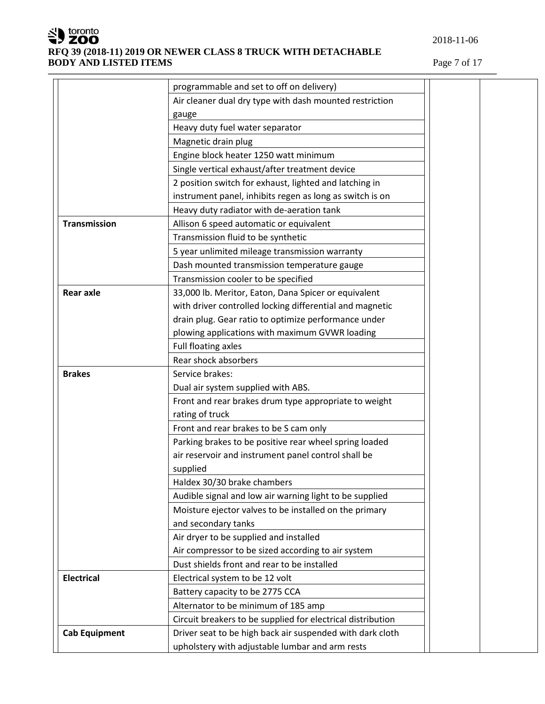

## **RFQ 39 (2018-11) 2019 OR NEWER CLASS 8 TRUCK WITH DETACHABLE BODY AND LISTED ITEMS** Page 7 of 17

|                      | programmable and set to off on delivery)                    |
|----------------------|-------------------------------------------------------------|
|                      | Air cleaner dual dry type with dash mounted restriction     |
|                      | gauge                                                       |
|                      | Heavy duty fuel water separator                             |
|                      | Magnetic drain plug                                         |
|                      | Engine block heater 1250 watt minimum                       |
|                      | Single vertical exhaust/after treatment device              |
|                      | 2 position switch for exhaust, lighted and latching in      |
|                      | instrument panel, inhibits regen as long as switch is on    |
|                      | Heavy duty radiator with de-aeration tank                   |
| <b>Transmission</b>  | Allison 6 speed automatic or equivalent                     |
|                      | Transmission fluid to be synthetic                          |
|                      | 5 year unlimited mileage transmission warranty              |
|                      | Dash mounted transmission temperature gauge                 |
|                      | Transmission cooler to be specified                         |
| <b>Rear axle</b>     | 33,000 lb. Meritor, Eaton, Dana Spicer or equivalent        |
|                      | with driver controlled locking differential and magnetic    |
|                      | drain plug. Gear ratio to optimize performance under        |
|                      | plowing applications with maximum GVWR loading              |
|                      | Full floating axles                                         |
|                      | Rear shock absorbers                                        |
| <b>Brakes</b>        | Service brakes:                                             |
|                      | Dual air system supplied with ABS.                          |
|                      | Front and rear brakes drum type appropriate to weight       |
|                      | rating of truck                                             |
|                      | Front and rear brakes to be S cam only                      |
|                      | Parking brakes to be positive rear wheel spring loaded      |
|                      | air reservoir and instrument panel control shall be         |
|                      | supplied                                                    |
|                      | Haldex 30/30 brake chambers                                 |
|                      | Audible signal and low air warning light to be supplied     |
|                      | Moisture ejector valves to be installed on the primary      |
|                      | and secondary tanks                                         |
|                      | Air dryer to be supplied and installed                      |
|                      | Air compressor to be sized according to air system          |
|                      |                                                             |
|                      | Dust shields front and rear to be installed                 |
| <b>Electrical</b>    | Electrical system to be 12 volt                             |
|                      | Battery capacity to be 2775 CCA                             |
|                      | Alternator to be minimum of 185 amp                         |
|                      | Circuit breakers to be supplied for electrical distribution |
| <b>Cab Equipment</b> | Driver seat to be high back air suspended with dark cloth   |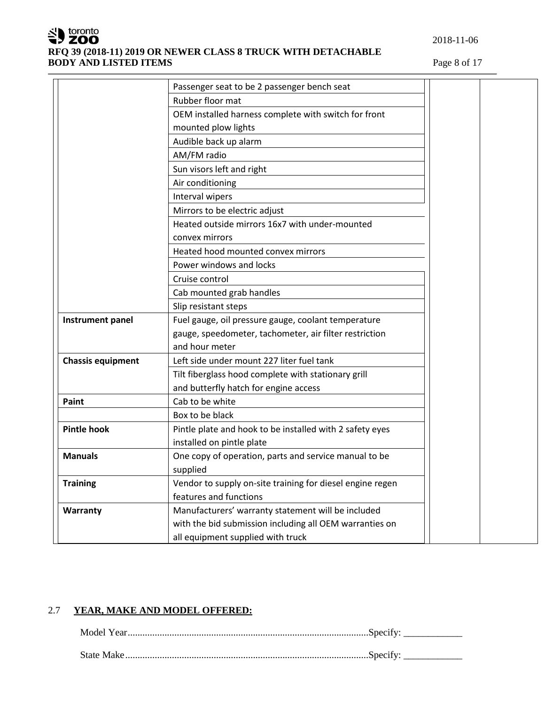

|                          | Passenger seat to be 2 passenger bench seat               |  |
|--------------------------|-----------------------------------------------------------|--|
|                          | Rubber floor mat                                          |  |
|                          | OEM installed harness complete with switch for front      |  |
|                          | mounted plow lights                                       |  |
|                          | Audible back up alarm                                     |  |
|                          | AM/FM radio                                               |  |
|                          | Sun visors left and right                                 |  |
|                          | Air conditioning                                          |  |
|                          | Interval wipers                                           |  |
|                          | Mirrors to be electric adjust                             |  |
|                          | Heated outside mirrors 16x7 with under-mounted            |  |
|                          | convex mirrors                                            |  |
|                          | Heated hood mounted convex mirrors                        |  |
|                          | Power windows and locks                                   |  |
|                          | Cruise control                                            |  |
|                          | Cab mounted grab handles                                  |  |
|                          | Slip resistant steps                                      |  |
| Instrument panel         | Fuel gauge, oil pressure gauge, coolant temperature       |  |
|                          | gauge, speedometer, tachometer, air filter restriction    |  |
|                          | and hour meter                                            |  |
| <b>Chassis equipment</b> | Left side under mount 227 liter fuel tank                 |  |
|                          | Tilt fiberglass hood complete with stationary grill       |  |
|                          | and butterfly hatch for engine access                     |  |
| Paint                    | Cab to be white                                           |  |
|                          | Box to be black                                           |  |
| <b>Pintle hook</b>       | Pintle plate and hook to be installed with 2 safety eyes  |  |
|                          | installed on pintle plate                                 |  |
| <b>Manuals</b>           | One copy of operation, parts and service manual to be     |  |
|                          | supplied                                                  |  |
| <b>Training</b>          | Vendor to supply on-site training for diesel engine regen |  |
|                          | features and functions                                    |  |
| Warranty                 | Manufacturers' warranty statement will be included        |  |
|                          | with the bid submission including all OEM warranties on   |  |
|                          | all equipment supplied with truck                         |  |

## 2.7 **YEAR, MAKE AND MODEL OFFERED:**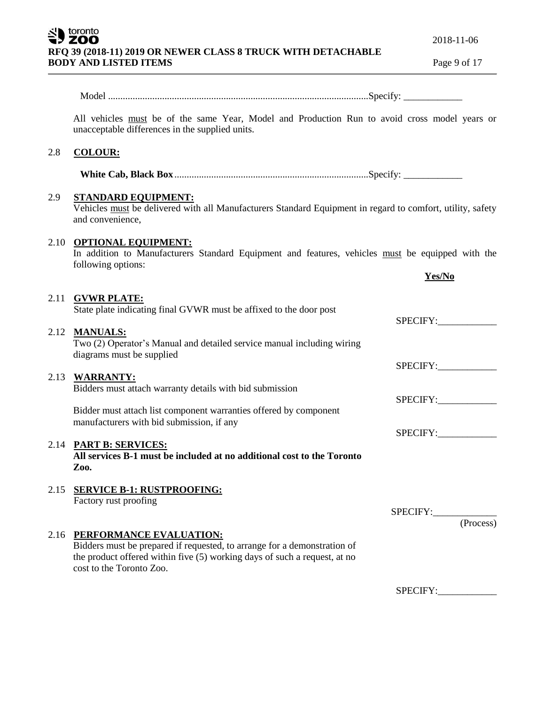|      | <b>BODY AND LISTED ITEMS</b>                                                                                                                                                                                 | Page 9 of 17 |
|------|--------------------------------------------------------------------------------------------------------------------------------------------------------------------------------------------------------------|--------------|
|      |                                                                                                                                                                                                              |              |
|      | All vehicles must be of the same Year, Model and Production Run to avoid cross model years or<br>unacceptable differences in the supplied units.                                                             |              |
| 2.8  | <b>COLOUR:</b>                                                                                                                                                                                               |              |
|      |                                                                                                                                                                                                              |              |
| 2.9  | <b>STANDARD EQUIPMENT:</b><br>Vehicles must be delivered with all Manufacturers Standard Equipment in regard to comfort, utility, safety<br>and convenience,                                                 |              |
|      | 2.10 OPTIONAL EQUIPMENT:<br>In addition to Manufacturers Standard Equipment and features, vehicles must be equipped with the<br>following options:                                                           | Yes/No       |
| 2.11 | <b>GVWR PLATE:</b><br>State plate indicating final GVWR must be affixed to the door post                                                                                                                     | SPECIFY:     |
|      | 2.12 MANUALS:<br>Two (2) Operator's Manual and detailed service manual including wiring<br>diagrams must be supplied                                                                                         |              |
| 2.13 | <b>WARRANTY:</b>                                                                                                                                                                                             | SPECIFY:     |
|      | Bidders must attach warranty details with bid submission                                                                                                                                                     | SPECIFY:     |
|      | Bidder must attach list component warranties offered by component<br>manufacturers with bid submission, if any                                                                                               |              |
|      | 2.14 PART B: SERVICES:<br>All services B-1 must be included at no additional cost to the Toronto<br>Zoo.                                                                                                     | SPECIFY:     |
| 2.15 | <b>SERVICE B-1: RUSTPROOFING:</b><br>Factory rust proofing                                                                                                                                                   | SPECIFY:     |
|      |                                                                                                                                                                                                              | (Process)    |
| 2.16 | PERFORMANCE EVALUATION:<br>Bidders must be prepared if requested, to arrange for a demonstration of<br>the product offered within five (5) working days of such a request, at no<br>cost to the Toronto Zoo. |              |

**RFQ 39 (2018-11) 2019 OR NEWER CLASS 8 TRUCK WITH DETACHABLE** 

SU toronto

SPECIFY:\_\_\_\_\_\_\_\_\_\_\_\_

2018-11-06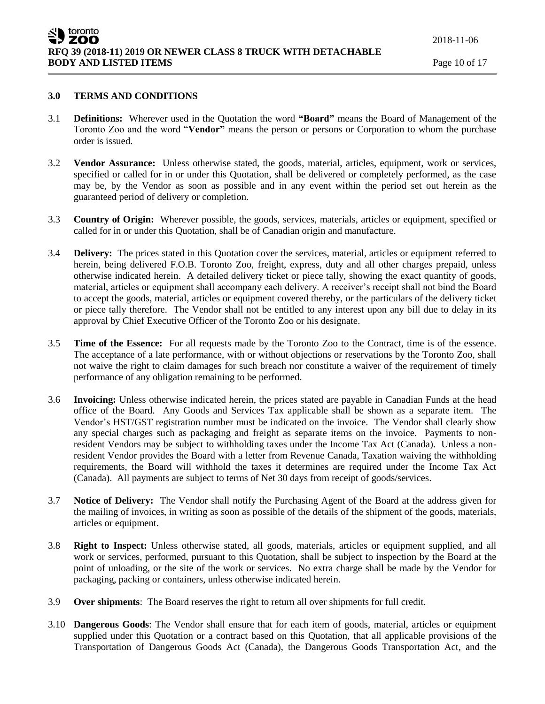## **3.0 TERMS AND CONDITIONS**

- 3.1 **Definitions:** Wherever used in the Quotation the word **"Board"** means the Board of Management of the Toronto Zoo and the word "**Vendor"** means the person or persons or Corporation to whom the purchase order is issued.
- 3.2 **Vendor Assurance:** Unless otherwise stated, the goods, material, articles, equipment, work or services, specified or called for in or under this Quotation, shall be delivered or completely performed, as the case may be, by the Vendor as soon as possible and in any event within the period set out herein as the guaranteed period of delivery or completion.
- 3.3 **Country of Origin:** Wherever possible, the goods, services, materials, articles or equipment, specified or called for in or under this Quotation, shall be of Canadian origin and manufacture.
- 3.4 **Delivery:** The prices stated in this Quotation cover the services, material, articles or equipment referred to herein, being delivered F.O.B. Toronto Zoo, freight, express, duty and all other charges prepaid, unless otherwise indicated herein. A detailed delivery ticket or piece tally, showing the exact quantity of goods, material, articles or equipment shall accompany each delivery. A receiver's receipt shall not bind the Board to accept the goods, material, articles or equipment covered thereby, or the particulars of the delivery ticket or piece tally therefore. The Vendor shall not be entitled to any interest upon any bill due to delay in its approval by Chief Executive Officer of the Toronto Zoo or his designate.
- 3.5 **Time of the Essence:** For all requests made by the Toronto Zoo to the Contract, time is of the essence. The acceptance of a late performance, with or without objections or reservations by the Toronto Zoo, shall not waive the right to claim damages for such breach nor constitute a waiver of the requirement of timely performance of any obligation remaining to be performed.
- 3.6 **Invoicing:** Unless otherwise indicated herein, the prices stated are payable in Canadian Funds at the head office of the Board. Any Goods and Services Tax applicable shall be shown as a separate item. The Vendor's HST/GST registration number must be indicated on the invoice. The Vendor shall clearly show any special charges such as packaging and freight as separate items on the invoice. Payments to nonresident Vendors may be subject to withholding taxes under the Income Tax Act (Canada). Unless a nonresident Vendor provides the Board with a letter from Revenue Canada, Taxation waiving the withholding requirements, the Board will withhold the taxes it determines are required under the Income Tax Act (Canada). All payments are subject to terms of Net 30 days from receipt of goods/services.
- 3.7 **Notice of Delivery:** The Vendor shall notify the Purchasing Agent of the Board at the address given for the mailing of invoices, in writing as soon as possible of the details of the shipment of the goods, materials, articles or equipment.
- 3.8 **Right to Inspect:** Unless otherwise stated, all goods, materials, articles or equipment supplied, and all work or services, performed, pursuant to this Quotation, shall be subject to inspection by the Board at the point of unloading, or the site of the work or services. No extra charge shall be made by the Vendor for packaging, packing or containers, unless otherwise indicated herein.
- 3.9 **Over shipments**: The Board reserves the right to return all over shipments for full credit.
- 3.10 **Dangerous Goods**: The Vendor shall ensure that for each item of goods, material, articles or equipment supplied under this Quotation or a contract based on this Quotation, that all applicable provisions of the Transportation of Dangerous Goods Act (Canada), the Dangerous Goods Transportation Act, and the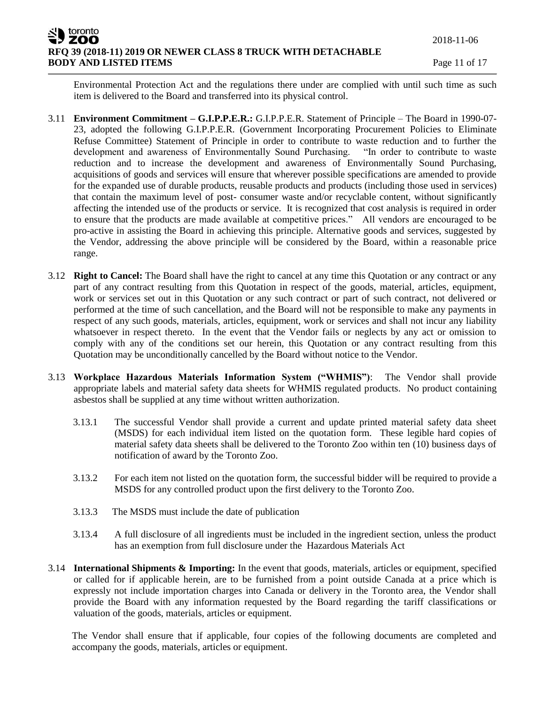Environmental Protection Act and the regulations there under are complied with until such time as such item is delivered to the Board and transferred into its physical control.

- 3.11 **Environment Commitment – G.I.P.P.E.R.:** G.I.P.P.E.R. Statement of Principle The Board in 1990-07- 23, adopted the following G.I.P.P.E.R. (Government Incorporating Procurement Policies to Eliminate Refuse Committee) Statement of Principle in order to contribute to waste reduction and to further the development and awareness of Environmentally Sound Purchasing. "In order to contribute to waste reduction and to increase the development and awareness of Environmentally Sound Purchasing, acquisitions of goods and services will ensure that wherever possible specifications are amended to provide for the expanded use of durable products, reusable products and products (including those used in services) that contain the maximum level of post- consumer waste and/or recyclable content, without significantly affecting the intended use of the products or service. It is recognized that cost analysis is required in order to ensure that the products are made available at competitive prices." All vendors are encouraged to be pro-active in assisting the Board in achieving this principle. Alternative goods and services, suggested by the Vendor, addressing the above principle will be considered by the Board, within a reasonable price range.
- 3.12 **Right to Cancel:** The Board shall have the right to cancel at any time this Quotation or any contract or any part of any contract resulting from this Quotation in respect of the goods, material, articles, equipment, work or services set out in this Quotation or any such contract or part of such contract, not delivered or performed at the time of such cancellation, and the Board will not be responsible to make any payments in respect of any such goods, materials, articles, equipment, work or services and shall not incur any liability whatsoever in respect thereto. In the event that the Vendor fails or neglects by any act or omission to comply with any of the conditions set our herein, this Quotation or any contract resulting from this Quotation may be unconditionally cancelled by the Board without notice to the Vendor.
- 3.13 **Workplace Hazardous Materials Information System ("WHMIS")**: The Vendor shall provide appropriate labels and material safety data sheets for WHMIS regulated products. No product containing asbestos shall be supplied at any time without written authorization.
	- 3.13.1 The successful Vendor shall provide a current and update printed material safety data sheet (MSDS) for each individual item listed on the quotation form. These legible hard copies of material safety data sheets shall be delivered to the Toronto Zoo within ten (10) business days of notification of award by the Toronto Zoo.
	- 3.13.2 For each item not listed on the quotation form, the successful bidder will be required to provide a MSDS for any controlled product upon the first delivery to the Toronto Zoo.
	- 3.13.3 The MSDS must include the date of publication
	- 3.13.4 A full disclosure of all ingredients must be included in the ingredient section, unless the product has an exemption from full disclosure under the Hazardous Materials Act
- 3.14 **International Shipments & Importing:** In the event that goods, materials, articles or equipment, specified or called for if applicable herein, are to be furnished from a point outside Canada at a price which is expressly not include importation charges into Canada or delivery in the Toronto area, the Vendor shall provide the Board with any information requested by the Board regarding the tariff classifications or valuation of the goods, materials, articles or equipment.

The Vendor shall ensure that if applicable, four copies of the following documents are completed and accompany the goods, materials, articles or equipment.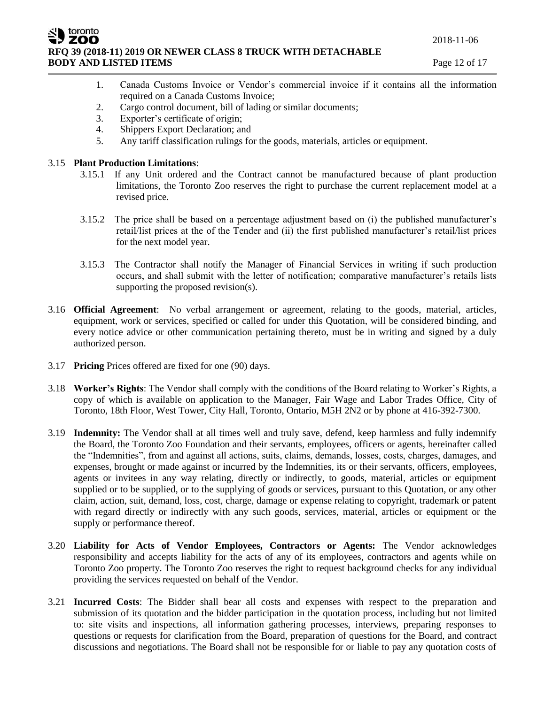2018-11-06

**ZOO RFQ 39 (2018-11) 2019 OR NEWER CLASS 8 TRUCK WITH DETACHABLE BODY AND LISTED ITEMS** Page 12 of 17

- 1. Canada Customs Invoice or Vendor's commercial invoice if it contains all the information required on a Canada Customs Invoice;
- 2. Cargo control document, bill of lading or similar documents;
- 3. Exporter's certificate of origin;
- 4. Shippers Export Declaration; and
- 5. Any tariff classification rulings for the goods, materials, articles or equipment.

## 3.15 **Plant Production Limitations**:

toronto

- 3.15.1 If any Unit ordered and the Contract cannot be manufactured because of plant production limitations, the Toronto Zoo reserves the right to purchase the current replacement model at a revised price.
- 3.15.2 The price shall be based on a percentage adjustment based on (i) the published manufacturer's retail/list prices at the of the Tender and (ii) the first published manufacturer's retail/list prices for the next model year.
- 3.15.3 The Contractor shall notify the Manager of Financial Services in writing if such production occurs, and shall submit with the letter of notification; comparative manufacturer's retails lists supporting the proposed revision(s).
- 3.16 **Official Agreement**: No verbal arrangement or agreement, relating to the goods, material, articles, equipment, work or services, specified or called for under this Quotation, will be considered binding, and every notice advice or other communication pertaining thereto, must be in writing and signed by a duly authorized person.
- 3.17 **Pricing** Prices offered are fixed for one (90) days.
- 3.18 **Worker's Rights**: The Vendor shall comply with the conditions of the Board relating to Worker's Rights, a copy of which is available on application to the Manager, Fair Wage and Labor Trades Office, City of Toronto, 18th Floor, West Tower, City Hall, Toronto, Ontario, M5H 2N2 or by phone at 416-392-7300.
- 3.19 **Indemnity:** The Vendor shall at all times well and truly save, defend, keep harmless and fully indemnify the Board, the Toronto Zoo Foundation and their servants, employees, officers or agents, hereinafter called the "Indemnities", from and against all actions, suits, claims, demands, losses, costs, charges, damages, and expenses, brought or made against or incurred by the Indemnities, its or their servants, officers, employees, agents or invitees in any way relating, directly or indirectly, to goods, material, articles or equipment supplied or to be supplied, or to the supplying of goods or services, pursuant to this Quotation, or any other claim, action, suit, demand, loss, cost, charge, damage or expense relating to copyright, trademark or patent with regard directly or indirectly with any such goods, services, material, articles or equipment or the supply or performance thereof.
- 3.20 **Liability for Acts of Vendor Employees, Contractors or Agents:** The Vendor acknowledges responsibility and accepts liability for the acts of any of its employees, contractors and agents while on Toronto Zoo property. The Toronto Zoo reserves the right to request background checks for any individual providing the services requested on behalf of the Vendor.
- 3.21 **Incurred Costs**: The Bidder shall bear all costs and expenses with respect to the preparation and submission of its quotation and the bidder participation in the quotation process, including but not limited to: site visits and inspections, all information gathering processes, interviews, preparing responses to questions or requests for clarification from the Board, preparation of questions for the Board, and contract discussions and negotiations. The Board shall not be responsible for or liable to pay any quotation costs of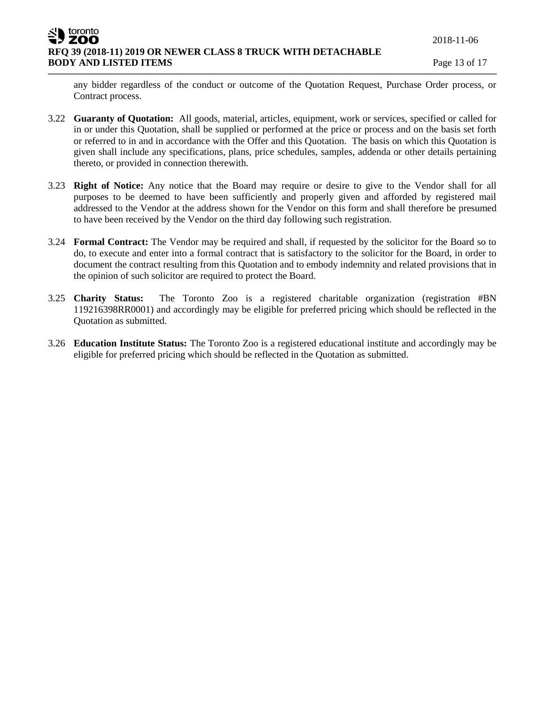toronto ZOO **RFQ 39 (2018-11) 2019 OR NEWER CLASS 8 TRUCK WITH DETACHABLE BODY AND LISTED ITEMS** Page 13 of 17

any bidder regardless of the conduct or outcome of the Quotation Request, Purchase Order process, or Contract process.

- 3.22 **Guaranty of Quotation:** All goods, material, articles, equipment, work or services, specified or called for in or under this Quotation, shall be supplied or performed at the price or process and on the basis set forth or referred to in and in accordance with the Offer and this Quotation. The basis on which this Quotation is given shall include any specifications, plans, price schedules, samples, addenda or other details pertaining thereto, or provided in connection therewith.
- 3.23 **Right of Notice:** Any notice that the Board may require or desire to give to the Vendor shall for all purposes to be deemed to have been sufficiently and properly given and afforded by registered mail addressed to the Vendor at the address shown for the Vendor on this form and shall therefore be presumed to have been received by the Vendor on the third day following such registration.
- 3.24 **Formal Contract:** The Vendor may be required and shall, if requested by the solicitor for the Board so to do, to execute and enter into a formal contract that is satisfactory to the solicitor for the Board, in order to document the contract resulting from this Quotation and to embody indemnity and related provisions that in the opinion of such solicitor are required to protect the Board.
- 3.25 **Charity Status:** The Toronto Zoo is a registered charitable organization (registration #BN 119216398RR0001) and accordingly may be eligible for preferred pricing which should be reflected in the Quotation as submitted.
- 3.26 **Education Institute Status:** The Toronto Zoo is a registered educational institute and accordingly may be eligible for preferred pricing which should be reflected in the Quotation as submitted.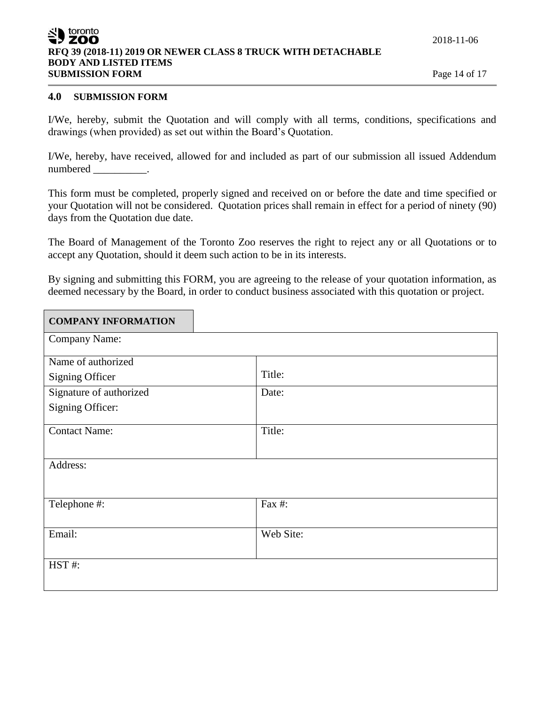## toronto ZOO **RFQ 39 (2018-11) 2019 OR NEWER CLASS 8 TRUCK WITH DETACHABLE BODY AND LISTED ITEMS SUBMISSION FORM** Page 14 of 17

## **4.0 SUBMISSION FORM**

I/We, hereby, submit the Quotation and will comply with all terms, conditions, specifications and drawings (when provided) as set out within the Board's Quotation.

I/We, hereby, have received, allowed for and included as part of our submission all issued Addendum numbered \_\_\_\_\_\_\_\_\_\_\_.

This form must be completed, properly signed and received on or before the date and time specified or your Quotation will not be considered. Quotation prices shall remain in effect for a period of ninety (90) days from the Quotation due date.

The Board of Management of the Toronto Zoo reserves the right to reject any or all Quotations or to accept any Quotation, should it deem such action to be in its interests.

By signing and submitting this FORM, you are agreeing to the release of your quotation information, as deemed necessary by the Board, in order to conduct business associated with this quotation or project.

| <b>COMPANY INFORMATION</b> |           |
|----------------------------|-----------|
| <b>Company Name:</b>       |           |
| Name of authorized         |           |
| <b>Signing Officer</b>     | Title:    |
| Signature of authorized    | Date:     |
| Signing Officer:           |           |
| <b>Contact Name:</b>       | Title:    |
| Address:                   |           |
| Telephone #:               | Fax #:    |
| Email:                     | Web Site: |
| HST#:                      |           |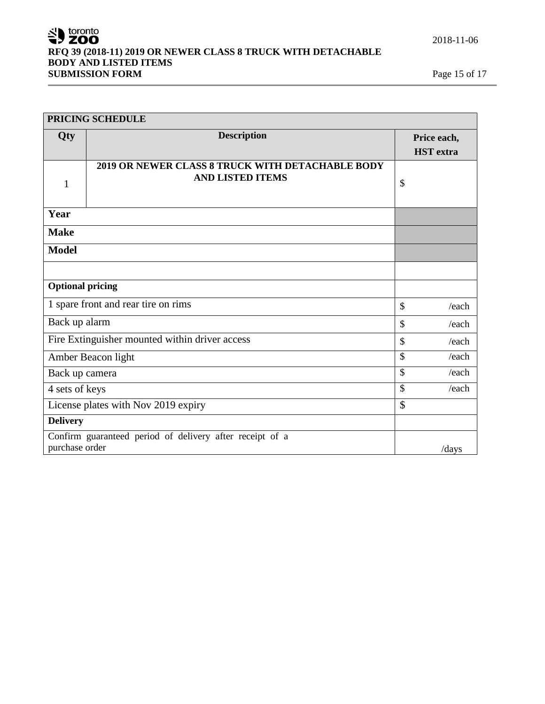# SU toronto **RFQ 39 (2018-11) 2019 OR NEWER CLASS 8 TRUCK WITH DETACHABLE BODY AND LISTED ITEMS**<br>**SUBMISSION FORM**<br>**Page 15 of 17 SUBMISSION FORM**

| PRICING SCHEDULE                                                                    |                                                                             |               |                                 |
|-------------------------------------------------------------------------------------|-----------------------------------------------------------------------------|---------------|---------------------------------|
| Qty                                                                                 | <b>Description</b>                                                          |               | Price each,<br><b>HST</b> extra |
| 1                                                                                   | 2019 OR NEWER CLASS 8 TRUCK WITH DETACHABLE BODY<br><b>AND LISTED ITEMS</b> | \$            |                                 |
| Year                                                                                |                                                                             |               |                                 |
| <b>Make</b>                                                                         |                                                                             |               |                                 |
| <b>Model</b>                                                                        |                                                                             |               |                                 |
|                                                                                     |                                                                             |               |                                 |
| <b>Optional pricing</b>                                                             |                                                                             |               |                                 |
| 1 spare front and rear tire on rims                                                 |                                                                             | $\mathcal{S}$ | /each                           |
| Back up alarm                                                                       |                                                                             | \$            | /each                           |
| Fire Extinguisher mounted within driver access                                      |                                                                             | \$            | /each                           |
| Amber Beacon light                                                                  |                                                                             | $\mathcal{S}$ | /each                           |
| Back up camera                                                                      |                                                                             | $\mathcal{S}$ | /each                           |
| 4 sets of keys                                                                      |                                                                             | $\mathcal{S}$ | /each                           |
| License plates with Nov 2019 expiry                                                 |                                                                             | \$            |                                 |
| <b>Delivery</b>                                                                     |                                                                             |               |                                 |
| Confirm guaranteed period of delivery after receipt of a<br>purchase order<br>/days |                                                                             |               |                                 |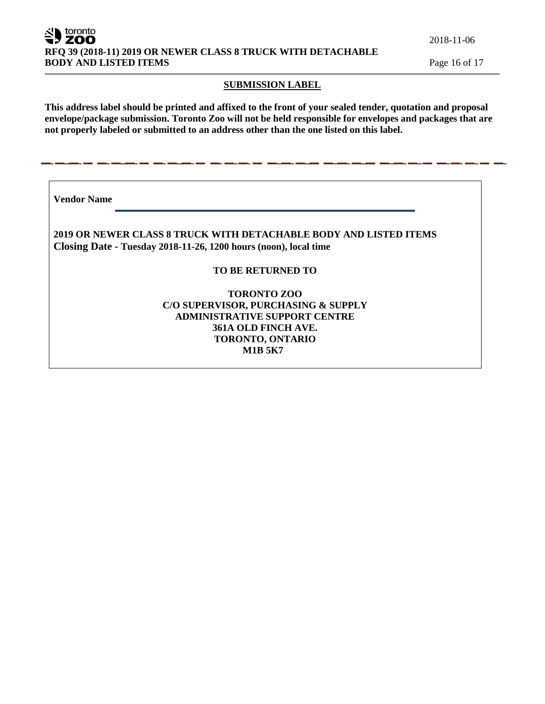toronto **ZOO RFQ 39 (2018-11) 2019 OR NEWER CLASS 8 TRUCK WITH DETACHABLE BODY AND LISTED ITEMS** Page 16 of 17

2018-11-06

#### **SUBMISSION LABEL**

**This address label should be printed and affixed to the front of your sealed tender, quotation and proposal envelope/package submission. Toronto Zoo will not be held responsible for envelopes and packages that are not properly labeled or submitted to an address other than the one listed on this label.**

**Vendor Name** 

**2019 OR NEWER CLASS 8 TRUCK WITH DETACHABLE BODY AND LISTED ITEMS Closing Date - Tuesday 2018-11-26, 1200 hours (noon), local time**

## **TO BE RETURNED TO**

## **TORONTO ZOO C/O SUPERVISOR, PURCHASING & SUPPLY ADMINISTRATIVE SUPPORT CENTRE 361A OLD FINCH AVE. TORONTO, ONTARIO M1B 5K7**